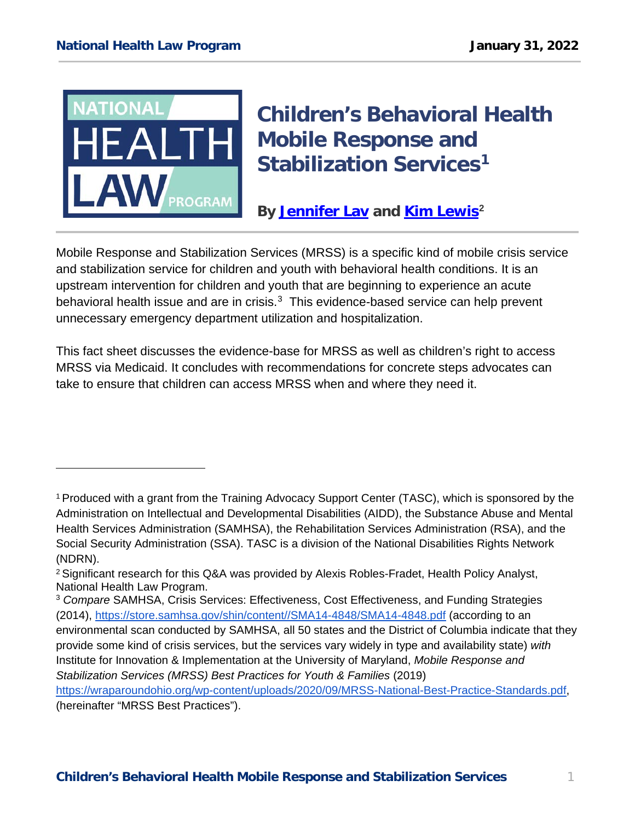

ł

# **Children's Behavioral Health Mobile Response and Stabilization Services[1](#page-0-0)**

**By [Jennifer Lav](https://healthlaw.org/team/jennifer-lav/) and [Kim Lewis](https://healthlaw.org/team/kim-lewis/)[2](#page-0-1)**

Mobile Response and Stabilization Services (MRSS) is a specific kind of mobile crisis service and stabilization service for children and youth with behavioral health conditions. It is an upstream intervention for children and youth that are beginning to experience an acute behavioral health issue and are in crisis.<sup>[3](#page-0-2)</sup> This evidence-based service can help prevent unnecessary emergency department utilization and hospitalization.

This fact sheet discusses the evidence-base for MRSS as well as children's right to access MRSS via Medicaid. It concludes with recommendations for concrete steps advocates can take to ensure that children can access MRSS when and where they need it.

[https://wraparoundohio.org/wp-content/uploads/2020/09/MRSS-National-Best-Practice-Standards.pdf,](https://wraparoundohio.org/wp-content/uploads/2020/09/MRSS-National-Best-Practice-Standards.pdf) (hereinafter "MRSS Best Practices").

<span id="page-0-0"></span><sup>1</sup> Produced with a grant from the Training Advocacy Support Center (TASC), which is sponsored by the Administration on Intellectual and Developmental Disabilities (AIDD), the Substance Abuse and Mental Health Services Administration (SAMHSA), the Rehabilitation Services Administration (RSA), and the Social Security Administration (SSA). TASC is a division of the National Disabilities Rights Network (NDRN).

<span id="page-0-1"></span><sup>2</sup> Significant research for this Q&A was provided by Alexis Robles-Fradet, Health Policy Analyst, National Health Law Program.

<span id="page-0-2"></span><sup>3</sup> *Compare* SAMHSA, Crisis Services: Effectiveness, Cost Effectiveness, and Funding Strategies (2014), [https://store.samhsa.gov/shin/content//SMA14-4848/SMA14-4848.pdf](https://store.samhsa.gov/shin/content/SMA14-4848/SMA14-4848.pdf) (according to an environmental scan conducted by SAMHSA, all 50 states and the District of Columbia indicate that they provide some kind of crisis services, but the services vary widely in type and availability state) *with* Institute for Innovation & Implementation at the University of Maryland, *Mobile Response and Stabilization Services (MRSS) Best Practices for Youth & Families* (2019)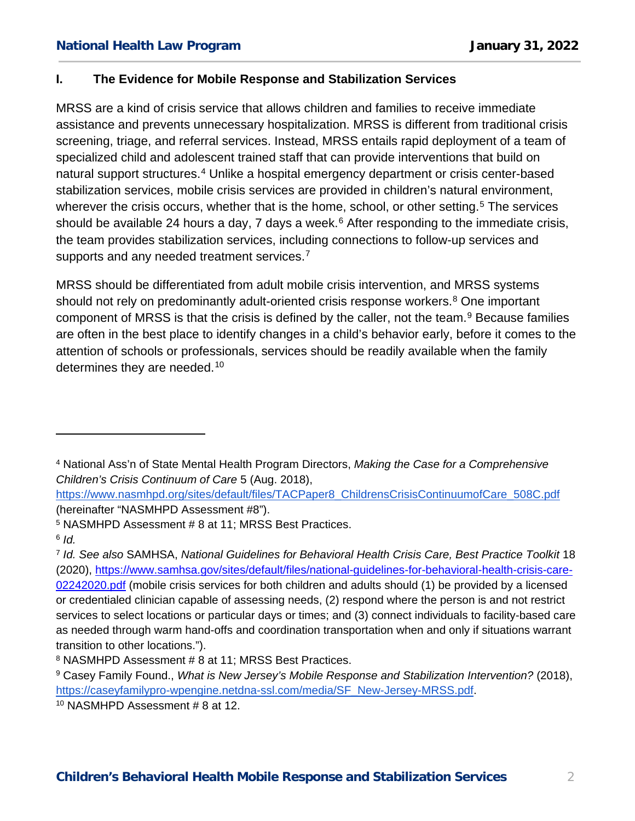# **I. The Evidence for Mobile Response and Stabilization Services**

MRSS are a kind of crisis service that allows children and families to receive immediate assistance and prevents unnecessary hospitalization. MRSS is different from traditional crisis screening, triage, and referral services. Instead, MRSS entails rapid deployment of a team of specialized child and adolescent trained staff that can provide interventions that build on natural support structures.<sup>[4](#page-1-0)</sup> Unlike a hospital emergency department or crisis center-based stabilization services, mobile crisis services are provided in children's natural environment, wherever the crisis occurs, whether that is the home, school, or other setting.<sup>[5](#page-1-1)</sup> The services should be available 24 hours a day, 7 days a week.<sup>[6](#page-1-2)</sup> After responding to the immediate crisis, the team provides stabilization services, including connections to follow-up services and supports and any needed treatment services.<sup>[7](#page-1-3)</sup>

MRSS should be differentiated from adult mobile crisis intervention, and MRSS systems should not rely on predominantly adult-oriented crisis response workers.<sup>[8](#page-1-4)</sup> One important component of MRSS is that the crisis is defined by the caller, not the team.<sup>[9](#page-1-5)</sup> Because families are often in the best place to identify changes in a child's behavior early, before it comes to the attention of schools or professionals, services should be readily available when the family determines they are needed.<sup>[10](#page-1-6)</sup>

ł

<span id="page-1-0"></span><sup>4</sup> National Ass'n of State Mental Health Program Directors, *Making the Case for a Comprehensive Children's Crisis Continuum of Care* 5 (Aug. 2018),

[https://www.nasmhpd.org/sites/default/files/TACPaper8\\_ChildrensCrisisContinuumofCare\\_508C.pdf](https://www.nasmhpd.org/sites/default/files/TACPaper8_ChildrensCrisisContinuumofCare_508C.pdf) (hereinafter "NASMHPD Assessment #8").

<span id="page-1-1"></span><sup>5</sup> NASMHPD Assessment # 8 at 11; MRSS Best Practices.

<span id="page-1-2"></span><sup>6</sup> *Id.*

<span id="page-1-3"></span><sup>7</sup> *Id. See also* SAMHSA, *National Guidelines for Behavioral Health Crisis Care, Best Practice Toolkit* 18 (2020), [https://www.samhsa.gov/sites/default/files/national-guidelines-for-behavioral-health-crisis-care-](https://www.samhsa.gov/sites/default/files/national-guidelines-for-behavioral-health-crisis-care-02242020.pdf)[02242020.pdf](https://www.samhsa.gov/sites/default/files/national-guidelines-for-behavioral-health-crisis-care-02242020.pdf) (mobile crisis services for both children and adults should (1) be provided by a licensed or credentialed clinician capable of assessing needs, (2) respond where the person is and not restrict services to select locations or particular days or times; and (3) connect individuals to facility-based care as needed through warm hand-offs and coordination transportation when and only if situations warrant transition to other locations.").

<span id="page-1-4"></span><sup>8</sup> NASMHPD Assessment # 8 at 11; MRSS Best Practices.

<span id="page-1-5"></span><sup>9</sup> Casey Family Found., *What is New Jersey's Mobile Response and Stabilization Intervention?* (2018), [https://caseyfamilypro-wpengine.netdna-ssl.com/media/SF\\_New-Jersey-MRSS.pdf.](https://caseyfamilypro-wpengine.netdna-ssl.com/media/SF_New-Jersey-MRSS.pdf)

<span id="page-1-6"></span><sup>10</sup> NASMHPD Assessment # 8 at 12.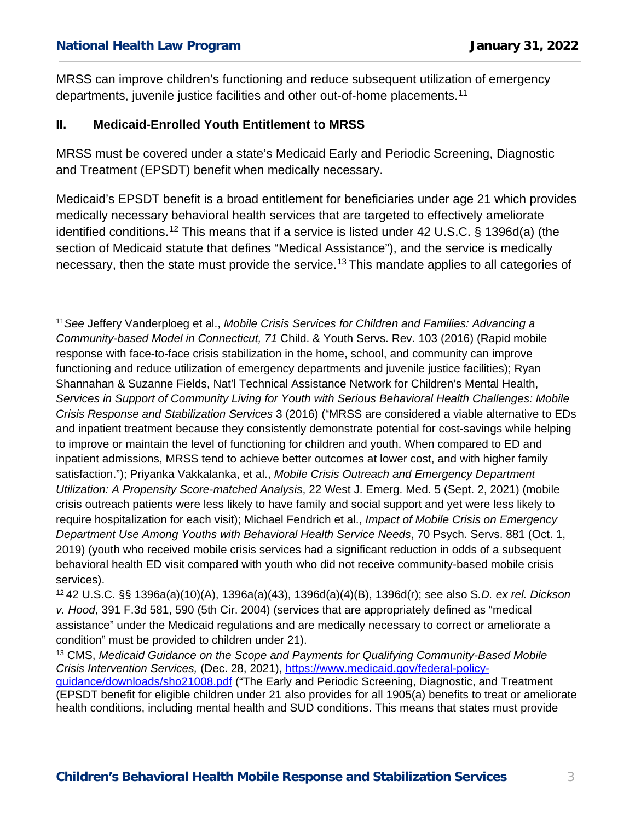## **National Health Law Program January 31, 2022**

ł

MRSS can improve children's functioning and reduce subsequent utilization of emergency departments, juvenile justice facilities and other out-of-home placements.[11](#page-2-0)

#### **II. Medicaid-Enrolled Youth Entitlement to MRSS**

MRSS must be covered under a state's Medicaid Early and Periodic Screening, Diagnostic and Treatment (EPSDT) benefit when medically necessary.

Medicaid's EPSDT benefit is a broad entitlement for beneficiaries under age 21 which provides medically necessary behavioral health services that are targeted to effectively ameliorate identified conditions.[12](#page-2-1) This means that if a service is listed under 42 U.S.C. § 1396d(a) (the section of Medicaid statute that defines "Medical Assistance"), and the service is medically necessary, then the state must provide the service.<sup>[13](#page-2-2)</sup> This mandate applies to all categories of

health conditions, including mental health and SUD conditions. This means that states must provide

<span id="page-2-0"></span><sup>11</sup>*See* Jeffery Vanderploeg et al., *Mobile Crisis Services for Children and Families: Advancing a Community-based Model in Connecticut, 71* Child. & Youth Servs. Rev. 103 (2016) (Rapid mobile response with face-to-face crisis stabilization in the home, school, and community can improve functioning and reduce utilization of emergency departments and juvenile justice facilities); Ryan Shannahan & Suzanne Fields, Nat'l Technical Assistance Network for Children's Mental Health, *Services in Support of Community Living for Youth with Serious Behavioral Health Challenges: Mobile Crisis Response and Stabilization Services* 3 (2016) ("MRSS are considered a viable alternative to EDs and inpatient treatment because they consistently demonstrate potential for cost-savings while helping to improve or maintain the level of functioning for children and youth. When compared to ED and inpatient admissions, MRSS tend to achieve better outcomes at lower cost, and with higher family satisfaction."); Priyanka Vakkalanka, et al., *Mobile Crisis Outreach and Emergency Department Utilization: A Propensity Score-matched Analysis*, 22 West J. Emerg. Med. 5 (Sept. 2, 2021) (mobile crisis outreach patients were less likely to have family and social support and yet were less likely to require hospitalization for each visit); Michael Fendrich et al., *Impact of Mobile Crisis on Emergency Department Use Among Youths with Behavioral Health Service Needs*, 70 Psych. Servs. 881 (Oct. 1, 2019) (youth who received mobile crisis services had a significant reduction in odds of a subsequent behavioral health ED visit compared with youth who did not receive community-based mobile crisis services).

<span id="page-2-1"></span><sup>12</sup> 42 U.S.C. §§ 1396a(a)(10)(A), 1396a(a)(43), 1396d(a)(4)(B), 1396d(r); see also S*.D. ex rel. Dickson v. Hood*, 391 F.3d 581, 590 (5th Cir. 2004) (services that are appropriately defined as "medical assistance" under the Medicaid regulations and are medically necessary to correct or ameliorate a condition" must be provided to children under 21).

<span id="page-2-2"></span><sup>13</sup> CMS, *Medicaid Guidance on the Scope and Payments for Qualifying Community-Based Mobile Crisis Intervention Services,* (Dec. 28, 2021), [https://www.medicaid.gov/federal-policy](https://www.medicaid.gov/federal-policy-guidance/downloads/sho21008.pdf)[guidance/downloads/sho21008.pdf](https://www.medicaid.gov/federal-policy-guidance/downloads/sho21008.pdf) ("The Early and Periodic Screening, Diagnostic, and Treatment (EPSDT benefit for eligible children under 21 also provides for all 1905(a) benefits to treat or ameliorate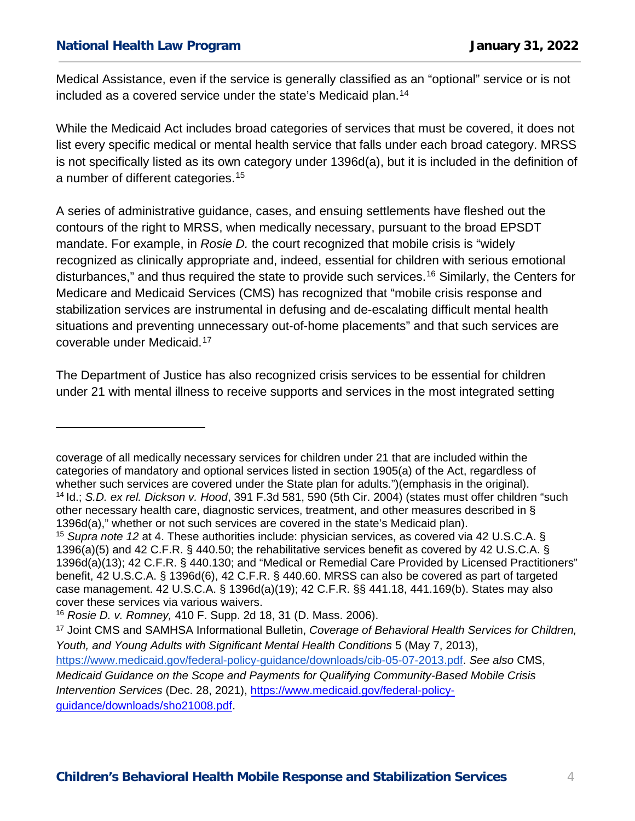## **National Health Law Program January 31, 2022**

ł

Medical Assistance, even if the service is generally classified as an "optional" service or is not included as a covered service under the state's Medicaid plan. [14](#page-3-0)

While the Medicaid Act includes broad categories of services that must be covered, it does not list every specific medical or mental health service that falls under each broad category. MRSS is not specifically listed as its own category under 1396d(a), but it is included in the definition of a number of different categories. [15](#page-3-1)

A series of administrative guidance, cases, and ensuing settlements have fleshed out the contours of the right to MRSS, when medically necessary, pursuant to the broad EPSDT mandate. For example, in *Rosie D.* the court recognized that mobile crisis is "widely recognized as clinically appropriate and, indeed, essential for children with serious emotional disturbances," and thus required the state to provide such services.[16](#page-3-2) Similarly, the Centers for Medicare and Medicaid Services (CMS) has recognized that "mobile crisis response and stabilization services are instrumental in defusing and de-escalating difficult mental health situations and preventing unnecessary out-of-home placements" and that such services are coverable under Medicaid.[17](#page-3-3)

The Department of Justice has also recognized crisis services to be essential for children under 21 with mental illness to receive supports and services in the most integrated setting

<span id="page-3-0"></span>coverage of all medically necessary services for children under 21 that are included within the categories of mandatory and optional services listed in section 1905(a) of the Act, regardless of whether such services are covered under the State plan for adults.")(emphasis in the original). <sup>14</sup> Id.; *S.D. ex rel. Dickson v. Hood*, 391 F.3d 581, 590 (5th Cir. 2004) (states must offer children "such other necessary health care, diagnostic services, treatment, and other measures described in § 1396d(a)," whether or not such services are covered in the state's Medicaid plan).

<span id="page-3-1"></span><sup>15</sup> *Supra note 12* at 4. These authorities include: physician services, as covered via 42 U.S.C.A. § 1396(a)(5) and 42 C.F.R. § 440.50; the rehabilitative services benefit as covered by 42 U.S.C.A. § 1396d(a)(13); 42 C.F.R. § 440.130; and "Medical or Remedial Care Provided by Licensed Practitioners" benefit, 42 U.S.C.A. § 1396d(6), 42 C.F.R. § 440.60. MRSS can also be covered as part of targeted case management. 42 U.S.C.A. § 1396d(a)(19); 42 C.F.R. §§ 441.18, 441.169(b). States may also cover these services via various waivers.

<span id="page-3-2"></span><sup>16</sup> *Rosie D. v. Romney,* 410 F. Supp. 2d 18, 31 (D. Mass. 2006).

<span id="page-3-3"></span><sup>17</sup> Joint CMS and SAMHSA Informational Bulletin, *Coverage of Behavioral Health Services for Children, Youth, and Young Adults with Significant Mental Health Conditions* 5 (May 7, 2013)[,](https://www.medicaid.gov/federal-policy-guidance/downloads/cib-05-07-2013.pdf) [https://www.medicaid.gov/federal-policy-guidance/downloads/cib-05-07-2013.pdf.](https://www.medicaid.gov/federal-policy-guidance/downloads/cib-05-07-2013.pdf) *See also* CMS, *Medicaid Guidance on the Scope and Payments for Qualifying Community-Based Mobile Crisis Intervention Services* (Dec. 28, 2021), [https://www.medicaid.gov/federal-policy](https://www.medicaid.gov/federal-policy-guidance/downloads/sho21008.pdf)[guidance/downloads/sho21008.pdf.](https://www.medicaid.gov/federal-policy-guidance/downloads/sho21008.pdf)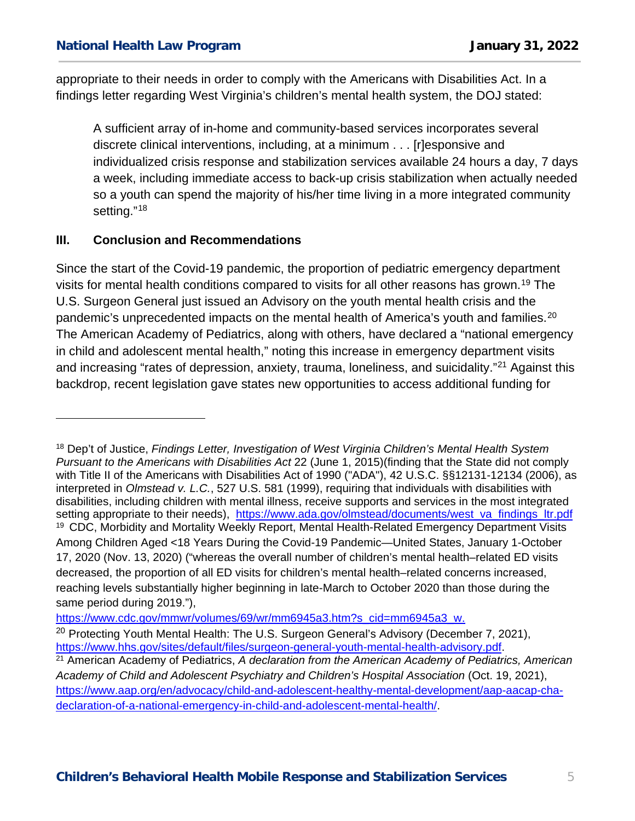appropriate to their needs in order to comply with the Americans with Disabilities Act. In a findings letter regarding West Virginia's children's mental health system, the DOJ stated:

A sufficient array of in-home and community-based services incorporates several discrete clinical interventions, including, at a minimum . . . [r]esponsive and individualized crisis response and stabilization services available 24 hours a day, 7 days a week, including immediate access to back-up crisis stabilization when actually needed so a youth can spend the majority of his/her time living in a more integrated community setting."<sup>[18](#page-4-0)</sup>

# **III. Conclusion and Recommendations**

ł

Since the start of the Covid-19 pandemic, the proportion of pediatric emergency department visits for mental health conditions compared to visits for all other reasons has grown.<sup>[19](#page-4-1)</sup> The U.S. Surgeon General just issued an Advisory on the youth mental health crisis and the pandemic's unprecedented impacts on the mental health of America's youth and families.<sup>[20](#page-4-2)</sup> The American Academy of Pediatrics, along with others, have declared a "national emergency in child and adolescent mental health," noting this increase in emergency department visits and increasing "rates of depression, anxiety, trauma, loneliness, and suicidality."[21](#page-4-3) Against this backdrop, recent legislation gave states new opportunities to access additional funding for

[https://www.cdc.gov/mmwr/volumes/69/wr/mm6945a3.htm?s\\_cid=mm6945a3\\_w.](https://www.cdc.gov/mmwr/volumes/69/wr/mm6945a3.htm?s_cid=mm6945a3_w.%20)

<span id="page-4-1"></span><span id="page-4-0"></span><sup>18</sup> Dep't of Justice, *Findings Letter, Investigation of West Virginia Children's Mental Health System Pursuant to the Americans with Disabilities Act* 22 (June 1, 2015)(finding that the State did not comply with Title II of the Americans with Disabilities Act of 1990 ("ADA"), 42 U.S.C. §§12131-12134 (2006), as interpreted in *Olmstead v. L.C.*, 527 U.S. 581 (1999), requiring that individuals with disabilities with disabilities, including children with mental illness, receive supports and services in the most integrated setting appropriate to their needs), [https://www.ada.gov/olmstead/documents/west\\_va\\_findings\\_ltr.pdf](https://www.ada.gov/olmstead/documents/west_va_findings_ltr.pdf) <sup>19</sup> CDC, Morbidity and Mortality Weekly Report, Mental Health-Related Emergency Department Visits Among Children Aged <18 Years During the Covid-19 Pandemic—United States, January 1-October 17, 2020 (Nov. 13, 2020) ("whereas the overall number of children's mental health–related ED visits decreased, the proportion of all ED visits for children's mental health–related concerns increased, reaching levels substantially higher beginning in late-March to October 2020 than those during the same period during 2019."),

<span id="page-4-2"></span><sup>&</sup>lt;sup>20</sup> Protecting Youth Mental Health: The U.S. Surgeon General's Advisory (December 7, 2021), https://www.hhs.gov/sites/default/files/surgeon-general-youth-mental-health-advisory.pdf.

<span id="page-4-3"></span><sup>&</sup>lt;sup>21</sup> American Academy of Pediatrics, A declaration from the American Academy of Pediatrics, American *Academy of Child and Adolescent Psychiatry and Children's Hospital Association* (Oct. 19, 2021), [https://www.aap.org/en/advocacy/child-and-adolescent-healthy-mental-development/aap-aacap-cha](https://www.aap.org/en/advocacy/child-and-adolescent-healthy-mental-development/aap-aacap-cha-declaration-of-a-national-emergency-in-child-and-adolescent-mental-health/)[declaration-of-a-national-emergency-in-child-and-adolescent-mental-health/.](https://www.aap.org/en/advocacy/child-and-adolescent-healthy-mental-development/aap-aacap-cha-declaration-of-a-national-emergency-in-child-and-adolescent-mental-health/)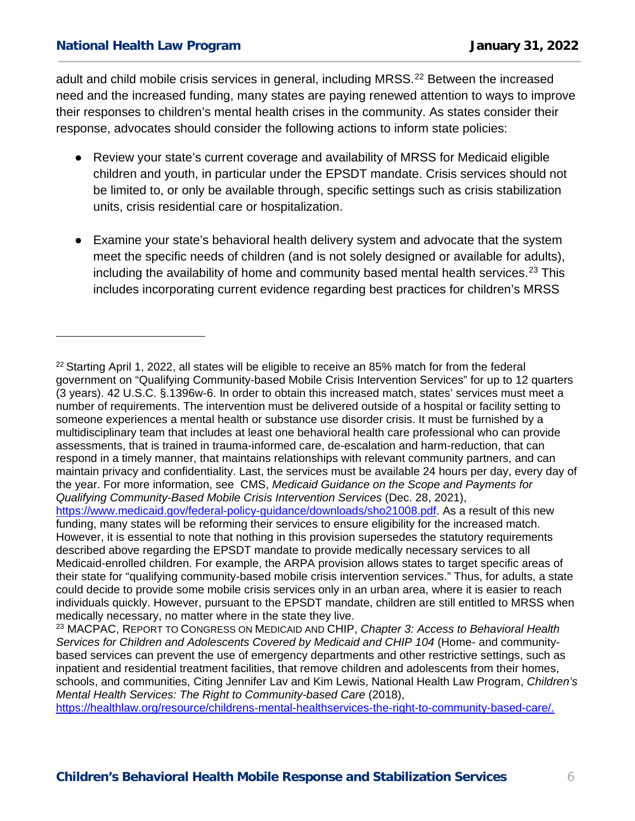ł

adult and child mobile crisis services in general, including MRSS.<sup>[22](#page-5-0)</sup> Between the increased need and the increased funding, many states are paying renewed attention to ways to improve their responses to children's mental health crises in the community. As states consider their response, advocates should consider the following actions to inform state policies:

- Review your state's current coverage and availability of MRSS for Medicaid eligible children and youth, in particular under the EPSDT mandate. Crisis services should not be limited to, or only be available through, specific settings such as crisis stabilization units, crisis residential care or hospitalization.
- Examine your state's behavioral health delivery system and advocate that the system meet the specific needs of children (and is not solely designed or available for adults), including the availability of home and community based mental health services.<sup>[23](#page-5-1)</sup> This includes incorporating current evidence regarding best practices for children's MRSS

[https://healthlaw.org/resource/childrens-mental-healthservices-the-right-to-community-based-care/.](https://healthlaw.org/resource/childrens-mental-healthservices-the-right-to-community-based-care/)

<span id="page-5-0"></span> $22$  Starting April 1, 2022, all states will be eligible to receive an 85% match for from the federal government on "Qualifying Community-based Mobile Crisis Intervention Services" for up to 12 quarters (3 years). 42 U.S.C. §.1396w-6. In order to obtain this increased match, states' services must meet a number of requirements. The intervention must be delivered outside of a hospital or facility setting to someone experiences a mental health or substance use disorder crisis. It must be furnished by a multidisciplinary team that includes at least one behavioral health care professional who can provide assessments, that is trained in trauma-informed care, de-escalation and harm-reduction, that can respond in a timely manner, that maintains relationships with relevant community partners, and can maintain privacy and confidentiality. Last, the services must be available 24 hours per day, every day of the year. For more information, see CMS, *Medicaid Guidance on the Scope and Payments for Qualifying Community-Based Mobile Crisis Intervention Services* (Dec. 28, 2021), [https://www.medicaid.gov/federal-policy-guidance/downloads/sho21008.pdf.](https://www.medicaid.gov/federal-policy-guidance/downloads/sho21008.pdf) As a result of this new funding, many states will be reforming their services to ensure eligibility for the increased match. However, it is essential to note that nothing in this provision supersedes the statutory requirements described above regarding the EPSDT mandate to provide medically necessary services to all Medicaid-enrolled children. For example, the ARPA provision allows states to target specific areas of their state for "qualifying community-based mobile crisis intervention services." Thus, for adults, a state could decide to provide some mobile crisis services only in an urban area, where it is easier to reach individuals quickly. However, pursuant to the EPSDT mandate, children are still entitled to MRSS when medically necessary, no matter where in the state they live.

<span id="page-5-1"></span><sup>23</sup> MACPAC, REPORT TO CONGRESS ON MEDICAID AND CHIP, *Chapter 3: Access to Behavioral Health*  Services for Children and Adolescents Covered by Medicaid and CHIP 104 (Home- and communitybased services can prevent the use of emergency departments and other restrictive settings, such as inpatient and residential treatment facilities, that remove children and adolescents from their homes, schools, and communities, Citing Jennifer Lav and Kim Lewis, National Health Law Program, *Children's Mental Health Services: The Right to Community-based Care* (2018),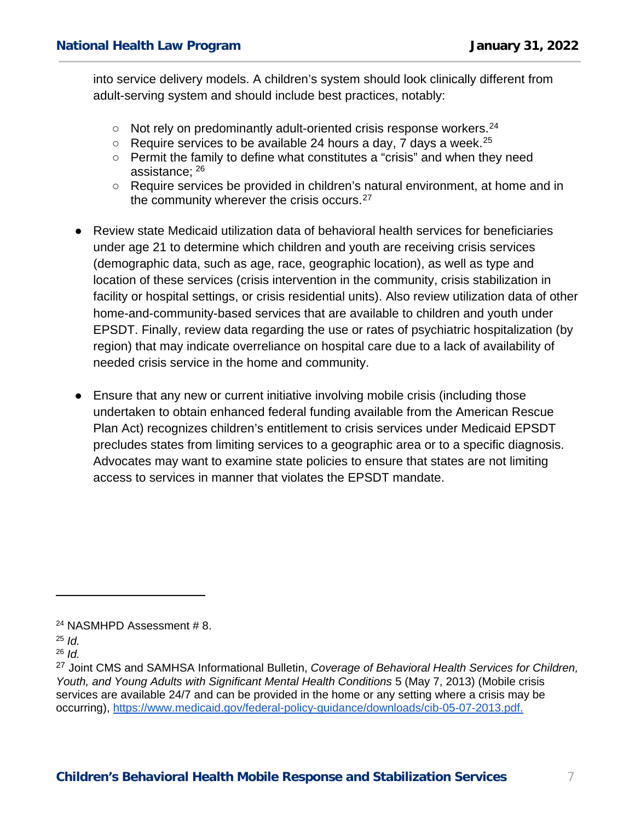into service delivery models. A children's system should look clinically different from adult-serving system and should include best practices, notably:

- $\circ$  Not rely on predominantly adult-oriented crisis response workers.<sup>[24](#page-6-0)</sup>
- $\circ$  Require services to be available 24 hours a day, 7 days a week.<sup>[25](#page-6-1)</sup>
- Permit the family to define what constitutes a "crisis" and when they need assistance; [26](#page-6-2)
- Require services be provided in children's natural environment, at home and in the community wherever the crisis occurs.<sup>[27](#page-6-3)</sup>
- Review state Medicaid utilization data of behavioral health services for beneficiaries under age 21 to determine which children and youth are receiving crisis services (demographic data, such as age, race, geographic location), as well as type and location of these services (crisis intervention in the community, crisis stabilization in facility or hospital settings, or crisis residential units). Also review utilization data of other home-and-community-based services that are available to children and youth under EPSDT. Finally, review data regarding the use or rates of psychiatric hospitalization (by region) that may indicate overreliance on hospital care due to a lack of availability of needed crisis service in the home and community.
- Ensure that any new or current initiative involving mobile crisis (including those undertaken to obtain enhanced federal funding available from the American Rescue Plan Act) recognizes children's entitlement to crisis services under Medicaid EPSDT precludes states from limiting services to a geographic area or to a specific diagnosis. Advocates may want to examine state policies to ensure that states are not limiting access to services in manner that violates the EPSDT mandate.

ł

<span id="page-6-2"></span><sup>26</sup> *Id.*

<span id="page-6-0"></span><sup>24</sup> NASMHPD Assessment # 8.

<span id="page-6-1"></span><sup>25</sup> *Id.*

<span id="page-6-3"></span><sup>27</sup> Joint CMS and SAMHSA Informational Bulletin, *Coverage of Behavioral Health Services for Children, Youth, and Young Adults with Significant Mental Health Conditions* 5 (May 7, 2013) (Mobile crisis services are available 24/7 and can be provided in the home or any setting where a crisis may be occurring), [https://www.medicaid.gov/federal-policy-guidance/downloads/cib-05-07-2013.pdf.](https://www.medicaid.gov/federal-policy-guidance/downloads/cib-05-07-2013.pdf)